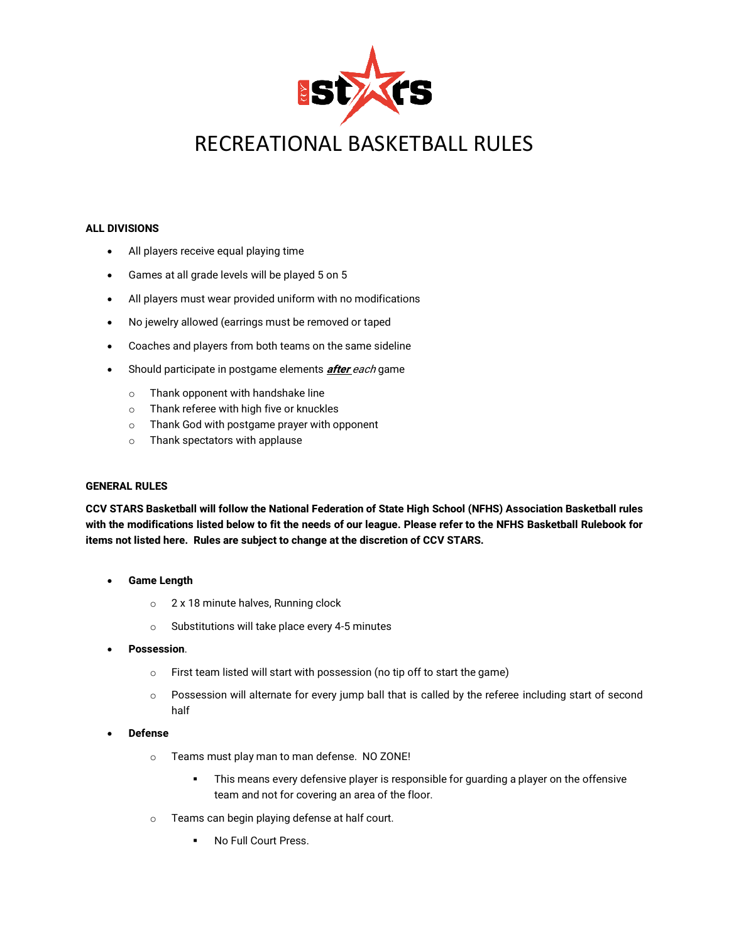

# RECREATIONAL BASKETBALL RULES

### **ALL DIVISIONS**

- All players receive equal playing time
- Games at all grade levels will be played 5 on 5
- All players must wear provided uniform with no modifications
- No jewelry allowed (earrings must be removed or taped
- Coaches and players from both teams on the same sideline
- Should participate in postgame elements **after** each game
	- o Thank opponent with handshake line
	- o Thank referee with high five or knuckles
	- o Thank God with postgame prayer with opponent
	- o Thank spectators with applause

# **GENERAL RULES**

**CCV STARS Basketball will follow the National Federation of State High School (NFHS) Association Basketball rules with the modifications listed below to fit the needs of our league. Please refer to the NFHS Basketball Rulebook for items not listed here. Rules are subject to change at the discretion of CCV STARS.**

- **Game Length**
	- o 2 x 18 minute halves, Running clock
	- o Substitutions will take place every 4-5 minutes
- **Possession**.
	- o First team listed will start with possession (no tip off to start the game)
	- o Possession will alternate for every jump ball that is called by the referee including start of second half
- **Defense**
	- o Teams must play man to man defense. NO ZONE!
		- **•** This means every defensive player is responsible for guarding a player on the offensive team and not for covering an area of the floor.
	- o Teams can begin playing defense at half court.
		- No Full Court Press.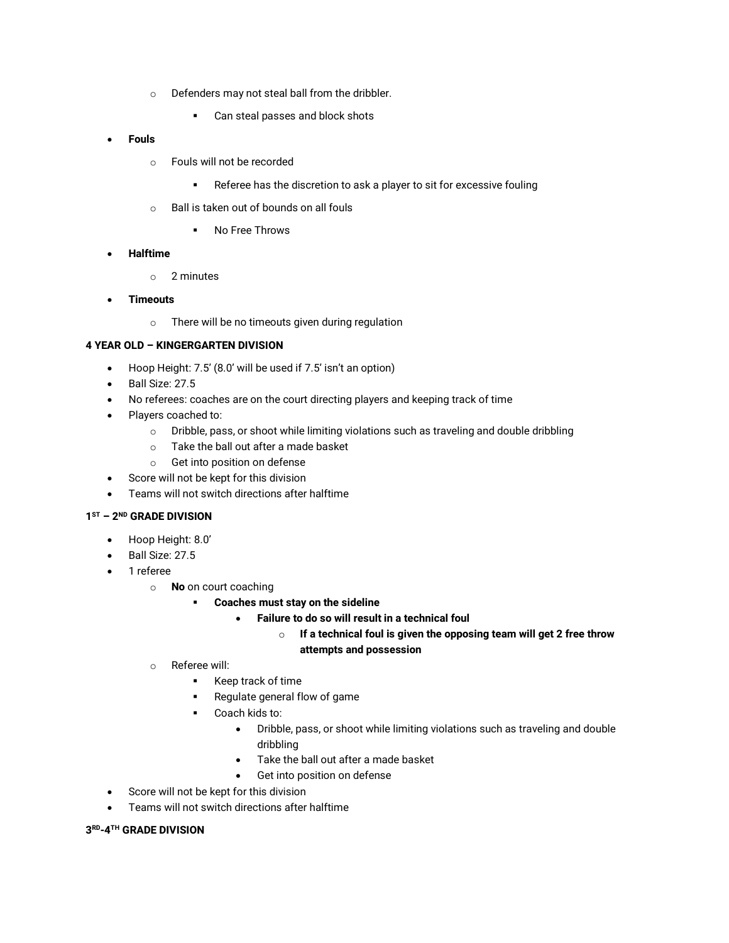- o Defenders may not steal ball from the dribbler.
	- Can steal passes and block shots
- **Fouls**
	- o Fouls will not be recorded
		- Referee has the discretion to ask a player to sit for excessive fouling
	- o Ball is taken out of bounds on all fouls
		- No Free Throws

### • **Halftime**

- o 2 minutes
- **Timeouts**
	- o There will be no timeouts given during regulation

### **4 YEAR OLD – KINGERGARTEN DIVISION**

- Hoop Height: 7.5' (8.0' will be used if 7.5' isn't an option)
- Ball Size: 27.5
- No referees: coaches are on the court directing players and keeping track of time
- Players coached to:
	- o Dribble, pass, or shoot while limiting violations such as traveling and double dribbling
	- o Take the ball out after a made basket
	- o Get into position on defense
- Score will not be kept for this division
- Teams will not switch directions after halftime

## **1 ST – 2 ND GRADE DIVISION**

- Hoop Height: 8.0'
- Ball Size: 27.5
- 1 referee
	- o **No** on court coaching
		- **Coaches must stay on the sideline**
			- **Failure to do so will result in a technical foul**
				- o **If a technical foul is given the opposing team will get 2 free throw attempts and possession**
	- o Referee will:
		- Keep track of time
		- Regulate general flow of game
		- Coach kids to:
			- Dribble, pass, or shoot while limiting violations such as traveling and double dribbling
			- Take the ball out after a made basket
			- Get into position on defense
- Score will not be kept for this division
- Teams will not switch directions after halftime

### **3 RD-4 TH GRADE DIVISION**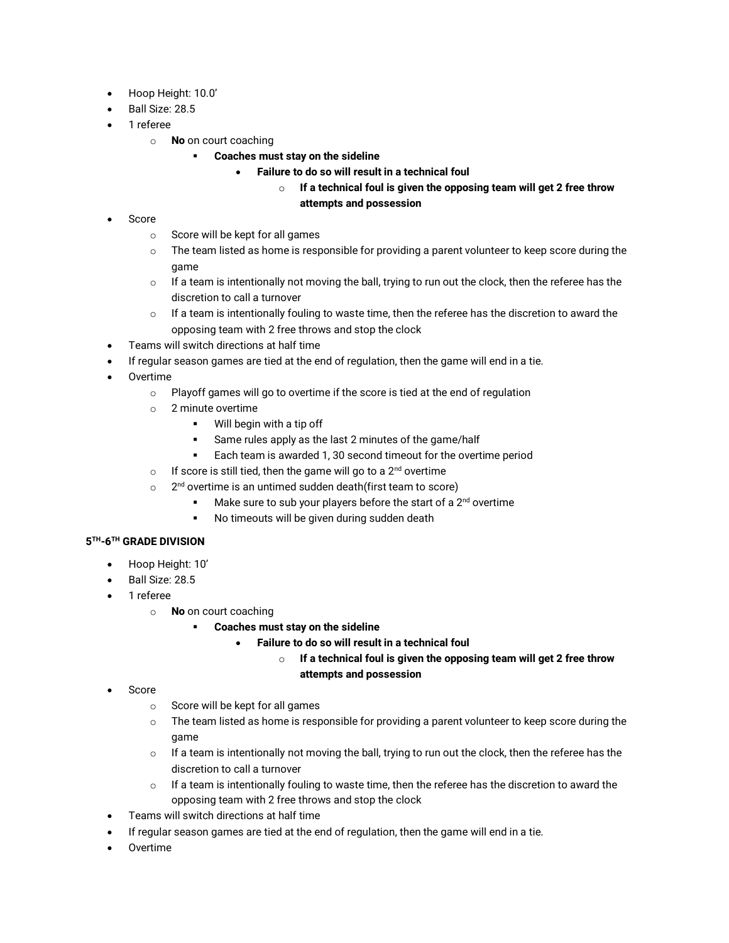- Hoop Height: 10.0'
- Ball Size: 28.5
- 1 referee
	- o **No** on court coaching
		- **Coaches must stay on the sideline**
			- **Failure to do so will result in a technical foul**

# o **If a technical foul is given the opposing team will get 2 free throw attempts and possession**

- Score
	- o Score will be kept for all games
	- $\circ$  The team listed as home is responsible for providing a parent volunteer to keep score during the game
	- $\circ$  If a team is intentionally not moving the ball, trying to run out the clock, then the referee has the discretion to call a turnover
	- $\circ$  If a team is intentionally fouling to waste time, then the referee has the discretion to award the opposing team with 2 free throws and stop the clock
- Teams will switch directions at half time
- If regular season games are tied at the end of regulation, then the game will end in a tie.
- Overtime
	- o Playoff games will go to overtime if the score is tied at the end of regulation
	- o 2 minute overtime
		- Will begin with a tip off
		- Same rules apply as the last 2 minutes of the game/half
		- Each team is awarded 1, 30 second timeout for the overtime period
	- $\circ$  If score is still tied, then the game will go to a 2<sup>nd</sup> overtime
	- $\circ$ 2<sup>nd</sup> overtime is an untimed sudden death(first team to score)
		- Make sure to sub your players before the start of a  $2<sup>nd</sup>$  overtime
		- No timeouts will be given during sudden death

## **5 TH-6 TH GRADE DIVISION**

- Hoop Height: 10'
- Ball Size: 28.5
- 1 referee
	- o **No** on court coaching
		- **Coaches must stay on the sideline** 
			- **Failure to do so will result in a technical foul**

## o **If a technical foul is given the opposing team will get 2 free throw attempts and possession**

- Score
	- o Score will be kept for all games
	- $\circ$  The team listed as home is responsible for providing a parent volunteer to keep score during the game
	- $\circ$  If a team is intentionally not moving the ball, trying to run out the clock, then the referee has the discretion to call a turnover
	- $\circ$  If a team is intentionally fouling to waste time, then the referee has the discretion to award the opposing team with 2 free throws and stop the clock
- Teams will switch directions at half time
- If regular season games are tied at the end of regulation, then the game will end in a tie.
- Overtime